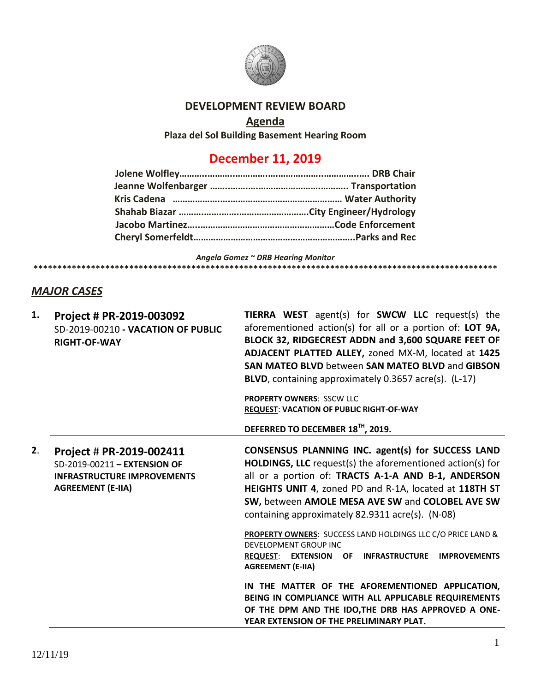

### **DEVELOPMENT REVIEW BOARD**

# **Agenda**

**Plaza del Sol Building Basement Hearing Room**

## **December 11, 2019**

*Angela Gomez ~ DRB Hearing Monitor* **\*\*\*\*\*\*\*\*\*\*\*\*\*\*\*\*\*\*\*\*\*\*\*\*\*\*\*\*\*\*\*\*\*\*\*\*\*\*\*\*\*\*\*\*\*\*\*\*\*\*\*\*\*\*\*\*\*\*\*\*\*\*\*\*\*\*\*\*\*\*\*\*\*\*\*\*\*\*\*\*\*\*\*\*\*\*\*\*\*\*\*\*\*\*\*\*\***

#### *MAJOR CASES*

| 1. | Project # PR-2019-003092<br>SD-2019-00210 - VACATION OF PUBLIC<br><b>RIGHT-OF-WAY</b>                                      | <b>TIERRA WEST</b> agent(s) for <b>SWCW LLC</b> request(s) the<br>aforementioned action(s) for all or a portion of: LOT 9A,<br>BLOCK 32, RIDGECREST ADDN and 3,600 SQUARE FEET OF<br>ADJACENT PLATTED ALLEY, zoned MX-M, located at 1425<br>SAN MATEO BLVD between SAN MATEO BLVD and GIBSON<br>BLVD, containing approximately 0.3657 acre(s). (L-17)<br>PROPERTY OWNERS: SSCW LLC<br><b>REQUEST: VACATION OF PUBLIC RIGHT-OF-WAY</b><br>DEFERRED TO DECEMBER 18TH, 2019. |
|----|----------------------------------------------------------------------------------------------------------------------------|---------------------------------------------------------------------------------------------------------------------------------------------------------------------------------------------------------------------------------------------------------------------------------------------------------------------------------------------------------------------------------------------------------------------------------------------------------------------------|
| 2. | Project # PR-2019-002411<br>SD-2019-00211 - EXTENSION OF<br><b>INFRASTRUCTURE IMPROVEMENTS</b><br><b>AGREEMENT (E-IIA)</b> | CONSENSUS PLANNING INC. agent(s) for SUCCESS LAND<br><b>HOLDINGS, LLC</b> request(s) the aforementioned action(s) for<br>all or a portion of: TRACTS A-1-A AND B-1, ANDERSON<br>HEIGHTS UNIT 4, zoned PD and R-1A, located at 118TH ST<br>SW, between AMOLE MESA AVE SW and COLOBEL AVE SW<br>containing approximately 82.9311 acre(s). (N-08)                                                                                                                            |
|    |                                                                                                                            | PROPERTY OWNERS: SUCCESS LAND HOLDINGS LLC C/O PRICE LAND &<br><b>DEVELOPMENT GROUP INC</b><br><b>REQUEST: EXTENSION</b><br><b>INFRASTRUCTURE</b><br><b>IMPROVEMENTS</b><br>OF.<br><b>AGREEMENT (E-IIA)</b>                                                                                                                                                                                                                                                               |
|    |                                                                                                                            | IN THE MATTER OF THE AFOREMENTIONED APPLICATION,<br>BEING IN COMPLIANCE WITH ALL APPLICABLE REQUIREMENTS<br>OF THE DPM AND THE IDO, THE DRB HAS APPROVED A ONE-<br>YEAR EXTENSION OF THE PRELIMINARY PLAT.                                                                                                                                                                                                                                                                |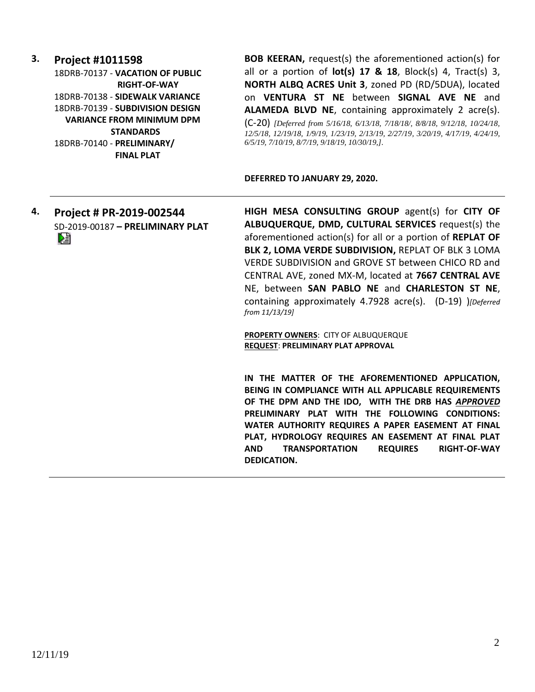#### **3. Project #1011598**

18DRB-70137 - **VACATION OF PUBLIC RIGHT-OF-WAY** 18DRB-70138 - **SIDEWALK VARIANCE** 18DRB-70139 - **SUBDIVISION DESIGN VARIANCE FROM MINIMUM DPM STANDARDS** 18DRB-70140 - **PRELIMINARY/ FINAL PLAT** 

**BOB KEERAN,** request(s) the aforementioned action(s) for all or a portion of **lot(s) 17 & 18**, Block(s) 4, Tract(s) 3, **NORTH ALBQ ACRES Unit 3**, zoned PD (RD/5DUA), located on **VENTURA ST NE** between **SIGNAL AVE NE** and **ALAMEDA BLVD NE**, containing approximately 2 acre(s).

(C-20) *[Deferred from 5/16/18, 6/13/18, 7/18/18/, 8/8/18, 9/12/18, 10/24/18, 12/5/18, 12/19/18, 1/9/19, 1/23/19, 2/13/19, 2/27/19, 3/20/19, 4/17/19, 4/24/19, 6/5/19, 7/10/19, 8/7/19, 9/18/19, 10/30/19,].*

#### **DEFERRED TO JANUARY 29, 2020.**

**4. Project # PR-2019-002544** SD-2019-00187 **– PRELIMINARY PLAT** Dă

**HIGH MESA CONSULTING GROUP** agent(s) for **CITY OF ALBUQUERQUE, DMD, CULTURAL SERVICES** request(s) the aforementioned action(s) for all or a portion of **REPLAT OF BLK 2, LOMA VERDE SUBDIVISION,** REPLAT OF BLK 3 LOMA VERDE SUBDIVISION and GROVE ST between CHICO RD and CENTRAL AVE, zoned MX-M, located at **7667 CENTRAL AVE** NE, between **SAN PABLO NE** and **CHARLESTON ST NE**, containing approximately 4.7928 acre(s). (D-19) )*[Deferred from 11/13/19]*

**PROPERTY OWNERS**: CITY OF ALBUQUERQUE **REQUEST**: **PRELIMINARY PLAT APPROVAL**

**IN THE MATTER OF THE AFOREMENTIONED APPLICATION, BEING IN COMPLIANCE WITH ALL APPLICABLE REQUIREMENTS OF THE DPM AND THE IDO, WITH THE DRB HAS** *APPROVED* **PRELIMINARY PLAT WITH THE FOLLOWING CONDITIONS: WATER AUTHORITY REQUIRES A PAPER EASEMENT AT FINAL PLAT, HYDROLOGY REQUIRES AN EASEMENT AT FINAL PLAT AND TRANSPORTATION REQUIRES RIGHT-OF-WAY DEDICATION.**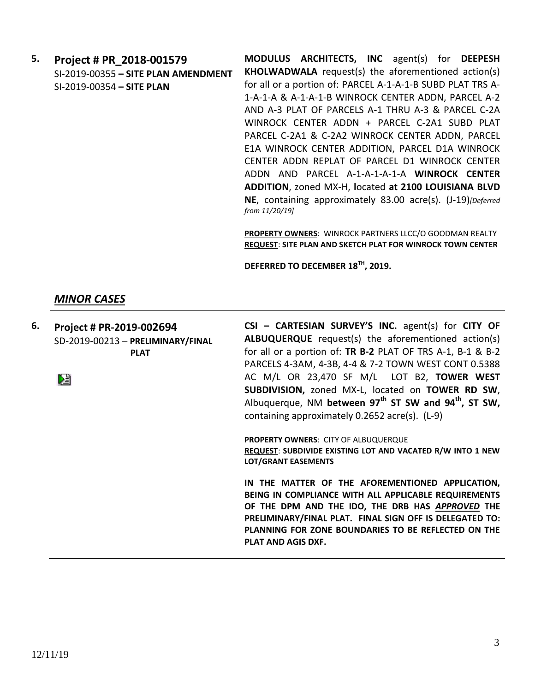**5. Project # PR\_2018-001579** SI-2019-00355 **– SITE PLAN AMENDMENT** SI-2019-00354 **– SITE PLAN**

**MODULUS ARCHITECTS, INC** agent(s) for **DEEPESH KHOLWADWALA** request(s) the aforementioned action(s) for all or a portion of: PARCEL A-1-A-1-B SUBD PLAT TRS A-1-A-1-A & A-1-A-1-B WINROCK CENTER ADDN, PARCEL A-2 AND A-3 PLAT OF PARCELS A-1 THRU A-3 & PARCEL C-2A WINROCK CENTER ADDN + PARCEL C-2A1 SUBD PLAT PARCEL C-2A1 & C-2A2 WINROCK CENTER ADDN, PARCEL E1A WINROCK CENTER ADDITION, PARCEL D1A WINROCK CENTER ADDN REPLAT OF PARCEL D1 WINROCK CENTER ADDN AND PARCEL A-1-A-1-A-1-A **WINROCK CENTER ADDITION**, zoned MX-H, **l**ocated **at 2100 LOUISIANA BLVD NE**, containing approximately 83.00 acre(s). (J-19)*[Deferred from 11/20/19]*

**PROPERTY OWNERS**: WINROCK PARTNERS LLCC/O GOODMAN REALTY **REQUEST**: **SITE PLAN AND SKETCH PLAT FOR WINROCK TOWN CENTER**

**DEFERRED TO DECEMBER 18TH, 2019.**

#### *MINOR CASES*

**6. Project # PR-2019-002694** SD-2019-00213 – **PRELIMINARY/FINAL PLAT**

DÊ

**CSI – CARTESIAN SURVEY'S INC.** agent(s) for **CITY OF ALBUQUERQUE** request(s) the aforementioned action(s) for all or a portion of: **TR B-2** PLAT OF TRS A-1, B-1 & B-2 PARCELS 4-3AM, 4-3B, 4-4 & 7-2 TOWN WEST CONT 0.5388 AC M/L OR 23,470 SF M/L LOT B2, **TOWER WEST SUBDIVISION,** zoned MX-L, located on **TOWER RD SW**, Albuquerque, NM **between 97th ST SW and 94th, ST SW,** containing approximately 0.2652 acre(s). (L-9)

**PROPERTY OWNERS**: CITY OF ALBUQUERQUE **REQUEST**: **SUBDIVIDE EXISTING LOT AND VACATED R/W INTO 1 NEW LOT/GRANT EASEMENTS**

**IN THE MATTER OF THE AFOREMENTIONED APPLICATION, BEING IN COMPLIANCE WITH ALL APPLICABLE REQUIREMENTS OF THE DPM AND THE IDO, THE DRB HAS** *APPROVED* **THE PRELIMINARY/FINAL PLAT. FINAL SIGN OFF IS DELEGATED TO: PLANNING FOR ZONE BOUNDARIES TO BE REFLECTED ON THE PLAT AND AGIS DXF.**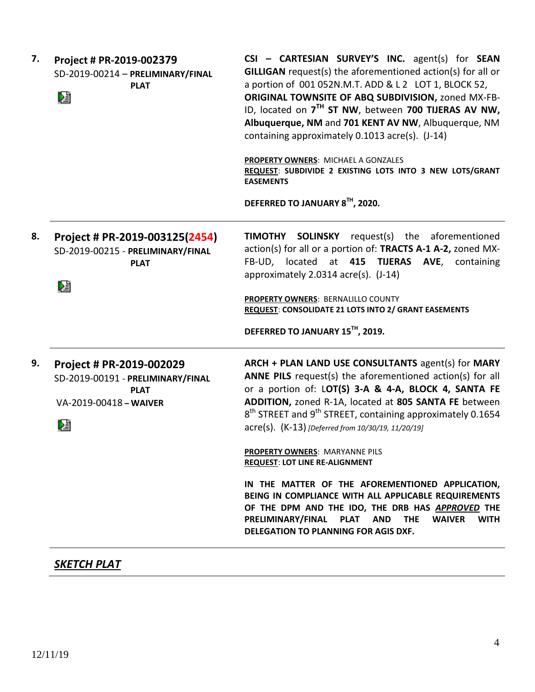| 7.      | Project # PR-2019-002379<br>SD-2019-00214 - PRELIMINARY/FINAL<br><b>PLAT</b><br>巆                           | CSI - CARTESIAN SURVEY'S INC. agent(s) for SEAN<br><b>GILLIGAN</b> request(s) the aforementioned action(s) for all or<br>a portion of 001 052N.M.T. ADD & L 2 LOT 1, BLOCK 52,<br>ORIGINAL TOWNSITE OF ABQ SUBDIVISION, zoned MX-FB-<br>ID, located on 7 <sup>TH</sup> ST NW, between 700 TIJERAS AV NW,<br>Albuquerque, NM and 701 KENT AV NW, Albuquerque, NM<br>containing approximately 0.1013 acre(s). (J-14)<br>PROPERTY OWNERS: MICHAEL A GONZALES<br>REQUEST: SUBDIVIDE 2 EXISTING LOTS INTO 3 NEW LOTS/GRANT |
|---------|-------------------------------------------------------------------------------------------------------------|-----------------------------------------------------------------------------------------------------------------------------------------------------------------------------------------------------------------------------------------------------------------------------------------------------------------------------------------------------------------------------------------------------------------------------------------------------------------------------------------------------------------------|
|         |                                                                                                             | <b>EASEMENTS</b><br>DEFERRED TO JANUARY 8TH, 2020.                                                                                                                                                                                                                                                                                                                                                                                                                                                                    |
| 8.<br>熖 | Project # PR-2019-003125(2454)<br>SD-2019-00215 - PRELIMINARY/FINAL<br><b>PLAT</b>                          | <b>TIMOTHY SOLINSKY</b> request(s) the aforementioned<br>action(s) for all or a portion of: TRACTS A-1 A-2, zoned MX-<br>FB-UD, located at 415 TIJERAS AVE, containing<br>approximately 2.0314 acre(s). (J-14)                                                                                                                                                                                                                                                                                                        |
|         |                                                                                                             | PROPERTY OWNERS: BERNALILLO COUNTY<br>REQUEST: CONSOLIDATE 21 LOTS INTO 2/ GRANT EASEMENTS                                                                                                                                                                                                                                                                                                                                                                                                                            |
|         |                                                                                                             | DEFERRED TO JANUARY 15TH, 2019.                                                                                                                                                                                                                                                                                                                                                                                                                                                                                       |
| 9.      | Project # PR-2019-002029<br>SD-2019-00191 - PRELIMINARY/FINAL<br><b>PLAT</b><br>VA-2019-00418 - WAIVER<br>熠 | ARCH + PLAN LAND USE CONSULTANTS agent(s) for MARY<br>ANNE PILS request(s) the aforementioned action(s) for all<br>or a portion of: LOT(S) 3-A & 4-A, BLOCK 4, SANTA FE<br>ADDITION, zoned R-1A, located at 805 SANTA FE between<br>8 <sup>th</sup> STREET and 9 <sup>th</sup> STREET, containing approximately 0.1654<br>acre(s). (K-13) [Deferred from 10/30/19, 11/20/19]                                                                                                                                          |
|         |                                                                                                             | PROPERTY OWNERS: MARYANNE PILS<br><b>REQUEST: LOT LINE RE-ALIGNMENT</b>                                                                                                                                                                                                                                                                                                                                                                                                                                               |
|         |                                                                                                             | IN THE MATTER OF THE AFOREMENTIONED APPLICATION,<br>BEING IN COMPLIANCE WITH ALL APPLICABLE REQUIREMENTS<br>OF THE DPM AND THE IDO, THE DRB HAS APPROVED THE<br>PLAT AND THE<br>PRELIMINARY/FINAL<br><b>WAIVER</b><br><b>WITH</b><br>DELEGATION TO PLANNING FOR AGIS DXF.                                                                                                                                                                                                                                             |